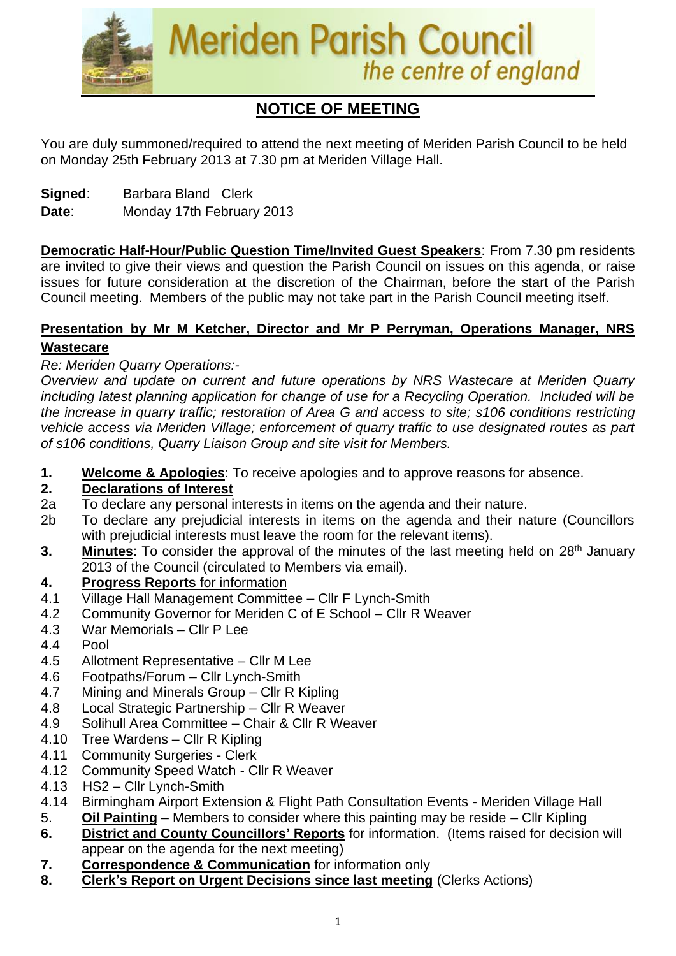

# **NOTICE OF MEETING**

You are duly summoned/required to attend the next meeting of Meriden Parish Council to be held on Monday 25th February 2013 at 7.30 pm at Meriden Village Hall.

**Signed**: Barbara Bland Clerk

**Date**: Monday 17th February 2013

**Democratic Half-Hour/Public Question Time/Invited Guest Speakers**: From 7.30 pm residents are invited to give their views and question the Parish Council on issues on this agenda, or raise issues for future consideration at the discretion of the Chairman, before the start of the Parish Council meeting. Members of the public may not take part in the Parish Council meeting itself.

#### **Presentation by Mr M Ketcher, Director and Mr P Perryman, Operations Manager, NRS Wastecare**

# *Re: Meriden Quarry Operations:-*

*Overview and update on current and future operations by NRS Wastecare at Meriden Quarry including latest planning application for change of use for a Recycling Operation. Included will be the increase in quarry traffic; restoration of Area G and access to site; s106 conditions restricting vehicle access via Meriden Village; enforcement of quarry traffic to use designated routes as part of s106 conditions, Quarry Liaison Group and site visit for Members.*

**1. Welcome & Apologies**: To receive apologies and to approve reasons for absence.

# **2. Declarations of Interest**

- 2a To declare any personal interests in items on the agenda and their nature.
- 2b To declare any prejudicial interests in items on the agenda and their nature (Councillors with prejudicial interests must leave the room for the relevant items).
- **3.** Minutes: To consider the approval of the minutes of the last meeting held on 28<sup>th</sup> January 2013 of the Council (circulated to Members via email).

# **4. Progress Reports** for information

- 4.1 Village Hall Management Committee Cllr F Lynch-Smith
- 4.2 Community Governor for Meriden C of E School Cllr R Weaver
- 4.3 War Memorials Cllr P Lee
- 4.4 Pool
- 4.5 Allotment Representative Cllr M Lee
- 4.6 Footpaths/Forum Cllr Lynch-Smith
- 4.7 Mining and Minerals Group Cllr R Kipling
- 4.8 Local Strategic Partnership Cllr R Weaver
- 4.9 Solihull Area Committee Chair & Cllr R Weaver
- 4.10 Tree Wardens Cllr R Kipling
- 4.11 Community Surgeries Clerk
- 4.12 Community Speed Watch Cllr R Weaver
- 4.13 HS2 Cllr Lynch-Smith
- 4.14 Birmingham Airport Extension & Flight Path Consultation Events Meriden Village Hall
- 5. **Oil Painting** Members to consider where this painting may be reside Cllr Kipling
- **6. District and County Councillors' Reports** for information. (Items raised for decision will appear on the agenda for the next meeting)
- **7. Correspondence & Communication** for information only
- **8. Clerk's Report on Urgent Decisions since last meeting** (Clerks Actions)